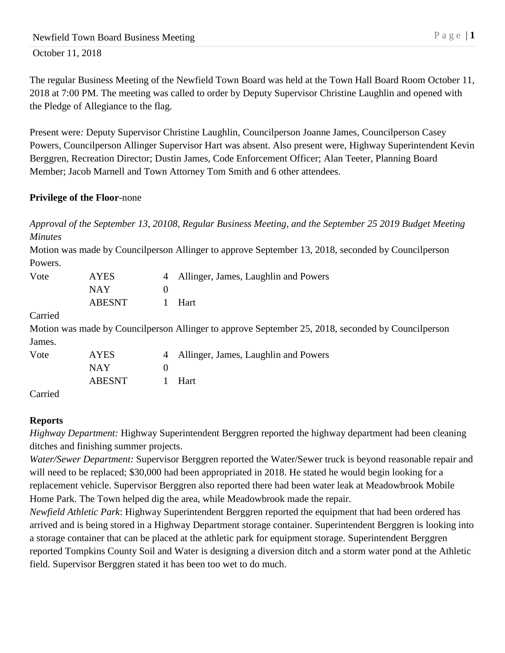The regular Business Meeting of the Newfield Town Board was held at the Town Hall Board Room October 11, 2018 at 7:00 PM. The meeting was called to order by Deputy Supervisor Christine Laughlin and opened with the Pledge of Allegiance to the flag.

Present were*:* Deputy Supervisor Christine Laughlin, Councilperson Joanne James, Councilperson Casey Powers, Councilperson Allinger Supervisor Hart was absent. Also present were, Highway Superintendent Kevin Berggren, Recreation Director; Dustin James, Code Enforcement Officer; Alan Teeter, Planning Board Member; Jacob Marnell and Town Attorney Tom Smith and 6 other attendees.

## **Privilege of the Floor***-*none

*Approval of the September 13, 20108, Regular Business Meeting, and the September 25 2019 Budget Meeting Minutes*

Motion was made by Councilperson Allinger to approve September 13, 2018, seconded by Councilperson Powers.

| Vote    | <b>AYES</b>   | $\overline{4}$ | Allinger, James, Laughlin and Powers                                                               |
|---------|---------------|----------------|----------------------------------------------------------------------------------------------------|
|         | <b>NAY</b>    | 0              |                                                                                                    |
|         | <b>ABESNT</b> |                | Hart                                                                                               |
| Carried |               |                |                                                                                                    |
|         |               |                | Motion was made by Councilperson Allinger to approve September 25, 2018, seconded by Councilperson |
| James.  |               |                |                                                                                                    |
| Vote    | <b>AYES</b>   | $\overline{4}$ | Allinger, James, Laughlin and Powers                                                               |
|         | <b>NAY</b>    | 0              |                                                                                                    |
|         | <b>ABESNT</b> |                | Hart                                                                                               |
|         |               |                |                                                                                                    |

Carried

# **Reports**

*Highway Department:* Highway Superintendent Berggren reported the highway department had been cleaning ditches and finishing summer projects.

*Water/Sewer Department:* Supervisor Berggren reported the Water/Sewer truck is beyond reasonable repair and will need to be replaced; \$30,000 had been appropriated in 2018. He stated he would begin looking for a replacement vehicle. Supervisor Berggren also reported there had been water leak at Meadowbrook Mobile Home Park. The Town helped dig the area, while Meadowbrook made the repair.

*Newfield Athletic Park*: Highway Superintendent Berggren reported the equipment that had been ordered has arrived and is being stored in a Highway Department storage container. Superintendent Berggren is looking into a storage container that can be placed at the athletic park for equipment storage. Superintendent Berggren reported Tompkins County Soil and Water is designing a diversion ditch and a storm water pond at the Athletic field. Supervisor Berggren stated it has been too wet to do much.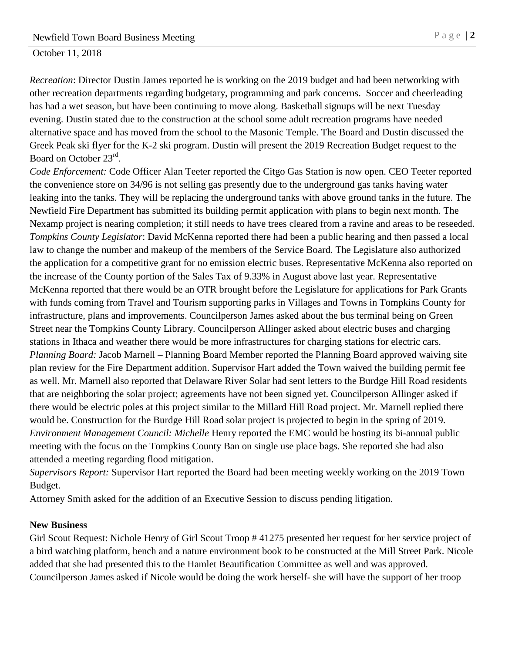*Recreation*: Director Dustin James reported he is working on the 2019 budget and had been networking with other recreation departments regarding budgetary, programming and park concerns. Soccer and cheerleading has had a wet season, but have been continuing to move along. Basketball signups will be next Tuesday evening. Dustin stated due to the construction at the school some adult recreation programs have needed alternative space and has moved from the school to the Masonic Temple. The Board and Dustin discussed the Greek Peak ski flyer for the K-2 ski program. Dustin will present the 2019 Recreation Budget request to the Board on October 23<sup>rd</sup>.

*Code Enforcement:* Code Officer Alan Teeter reported the Citgo Gas Station is now open. CEO Teeter reported the convenience store on 34/96 is not selling gas presently due to the underground gas tanks having water leaking into the tanks. They will be replacing the underground tanks with above ground tanks in the future. The Newfield Fire Department has submitted its building permit application with plans to begin next month. The Nexamp project is nearing completion; it still needs to have trees cleared from a ravine and areas to be reseeded. *Tompkins County Legislator*: David McKenna reported there had been a public hearing and then passed a local law to change the number and makeup of the members of the Service Board. The Legislature also authorized the application for a competitive grant for no emission electric buses. Representative McKenna also reported on the increase of the County portion of the Sales Tax of 9.33% in August above last year. Representative McKenna reported that there would be an OTR brought before the Legislature for applications for Park Grants with funds coming from Travel and Tourism supporting parks in Villages and Towns in Tompkins County for infrastructure, plans and improvements. Councilperson James asked about the bus terminal being on Green Street near the Tompkins County Library. Councilperson Allinger asked about electric buses and charging stations in Ithaca and weather there would be more infrastructures for charging stations for electric cars. *Planning Board:* Jacob Marnell – Planning Board Member reported the Planning Board approved waiving site plan review for the Fire Department addition. Supervisor Hart added the Town waived the building permit fee as well. Mr. Marnell also reported that Delaware River Solar had sent letters to the Burdge Hill Road residents that are neighboring the solar project; agreements have not been signed yet. Councilperson Allinger asked if there would be electric poles at this project similar to the Millard Hill Road project. Mr. Marnell replied there would be. Construction for the Burdge Hill Road solar project is projected to begin in the spring of 2019. *Environment Management Council: Michelle* Henry reported the EMC would be hosting its bi-annual public meeting with the focus on the Tompkins County Ban on single use place bags. She reported she had also attended a meeting regarding flood mitigation.

*Supervisors Report:* Supervisor Hart reported the Board had been meeting weekly working on the 2019 Town Budget.

Attorney Smith asked for the addition of an Executive Session to discuss pending litigation.

### **New Business**

Girl Scout Request: Nichole Henry of Girl Scout Troop # 41275 presented her request for her service project of a bird watching platform, bench and a nature environment book to be constructed at the Mill Street Park. Nicole added that she had presented this to the Hamlet Beautification Committee as well and was approved. Councilperson James asked if Nicole would be doing the work herself- she will have the support of her troop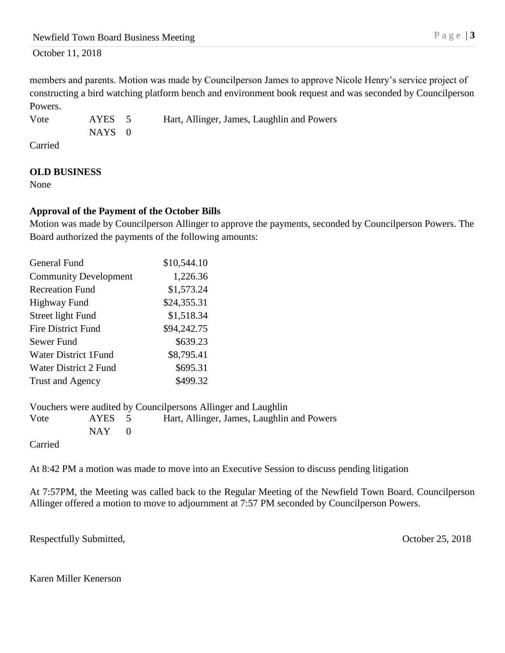members and parents. Motion was made by Councilperson James to approve Nicole Henry's service project of constructing a bird watching platform bench and environment book request and was seconded by Councilperson Powers.

Vote AYES 5 Hart, Allinger, James, Laughlin and Powers NAYS<sub>0</sub>

Carried

## **OLD BUSINESS**

None

## **Approval of the Payment of the October Bills**

Motion was made by Councilperson Allinger to approve the payments, seconded by Councilperson Powers. The Board authorized the payments of the following amounts:

| <b>General Fund</b>          | \$10,544.10 |
|------------------------------|-------------|
| <b>Community Development</b> | 1,226.36    |
| <b>Recreation Fund</b>       | \$1,573.24  |
| <b>Highway Fund</b>          | \$24,355.31 |
| Street light Fund            | \$1,518.34  |
| <b>Fire District Fund</b>    | \$94,242.75 |
| Sewer Fund                   | \$639.23    |
| <b>Water District 1Fund</b>  | \$8,795.41  |
| Water District 2 Fund        | \$695.31    |
| Trust and Agency             | \$499.32    |

Vouchers were audited by Councilpersons Allinger and Laughlin Vote AYES 5 Hart, Allinger, James, Laughlin and Powers  $NAY$  0

Carried

At 8:42 PM a motion was made to move into an Executive Session to discuss pending litigation

At 7:57PM, the Meeting was called back to the Regular Meeting of the Newfield Town Board. Councilperson Allinger offered a motion to move to adjournment at 7:57 PM seconded by Councilperson Powers.

Respectfully Submitted, October 25, 2018

Karen Miller Kenerson